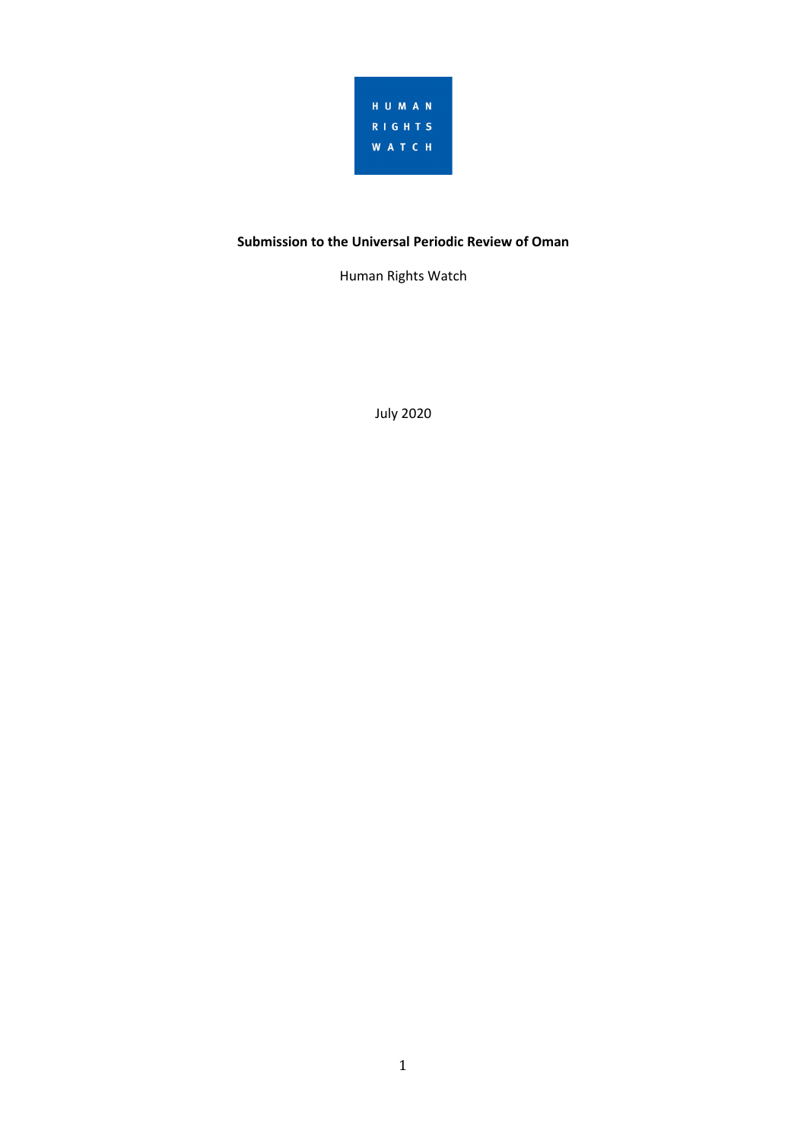

# **Submission to the Universal Periodic Review of Oman**

Human Rights Watch

July 2020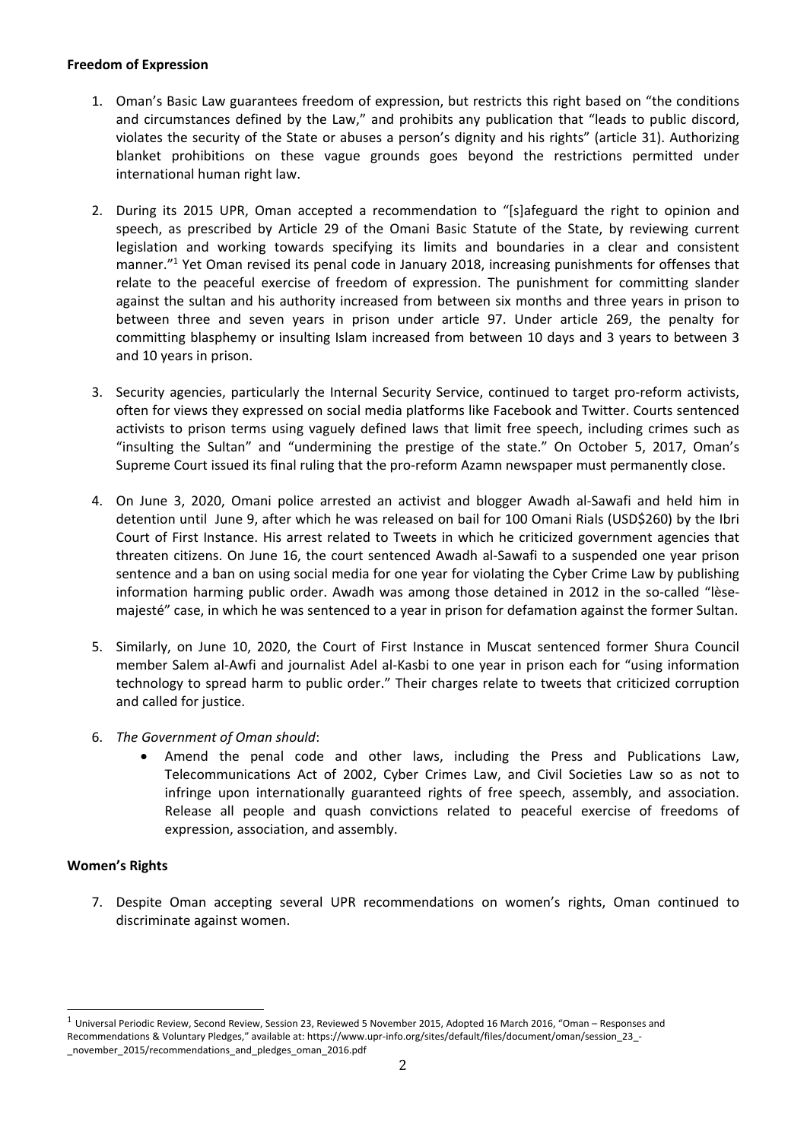#### **Freedom of Expression**

- 1. Oman'<sup>s</sup> Basic Law guarantees freedom of expression, but restricts this right based on "the conditions and circumstances defined by the Law," and prohibits any publication that "leads to public discord, violates the security of the State or abuses <sup>a</sup> person'<sup>s</sup> dignity and his rights" (article 31). Authorizing blanket prohibitions on these vague grounds goes beyond the restrictions permitted under international human right law.
- 2. During its 2015 UPR, Oman accepted <sup>a</sup> recommendation to "[s]afeguard the right to opinion and speech, as prescribed by Article 29 of the Omani Basic Statute of the State, by reviewing current legislation and working towards specifying its limits and boundaries in <sup>a</sup> clear and consistent manner." 1 Yet Oman revised its penal code in January 2018, increasing punishments for offenses that relate to the peaceful exercise of freedom of expression. The punishment for committing slander against the sultan and his authority increased from between six months and three years in prison to between three and seven years in prison under article 97. Under article 269, the penalty for committing blasphemy or insulting Islam increased from between 10 days and 3 years to between 3 and 10 years in prison.
- 3. Security agencies, particularly the Internal Security Service, continued to target pro-reform activists, often for views they expressed on social media platforms like Facebook and Twitter. Courts sentenced activists to prison terms using vaguely defined laws that limit free speech, including crimes such as "insulting the Sultan" and "undermining the prestige of the state." On October 5, 2017, Oman'<sup>s</sup> Supreme Court issued its final ruling that the pro-reform Azamn newspaper must permanently close.
- 4. On June 3, 2020, Omani police arrested an activist and blogger Awadh al-Sawafi and held him in detention until June 9, after which he was released on bail for 100 Omani Rials (USD\$260) by the Ibri Court of First Instance. His arrest related to Tweets in which he criticized government agencies that threaten citizens. On June 16, the court sentenced Awadh al-Sawafi to <sup>a</sup> suspended one year prison sentence and <sup>a</sup> ban on using social media for one year for violating the Cyber Crime Law by publishing information harming public order. Awadh was among those detained in 2012 in the so-called "lèsemajesté" case, in which he was sentenced to <sup>a</sup> year in prison for defamation against the former Sultan.
- 5. Similarly, on June 10, 2020, the Court of First Instance in Muscat sentenced former Shura Council member Salem al-Awfi and journalist Adel al-Kasbi to one year in prison each for "using information technology to spread harm to public order." Their charges relate to tweets that criticized corruption and called for justice.
- 6. *The Government of Oman should*:
	- . Amend the penal code and other laws, including the Press and Publications Law, Telecommunications Act of 2002, Cyber Crimes Law, and Civil Societies Law so as not to infringe upon internationally guaranteed rights of free speech, assembly, and association. Release all people and quash convictions related to peaceful exercise of freedoms of expression, association, and assembly.

### **Women'<sup>s</sup> Rights**

7. Despite Oman accepting several UPR recommendations on women'<sup>s</sup> rights, Oman continued to discriminate against women.

 $1$  Universal Periodic Review, Second Review, Session 23, Reviewed 5 November 2015, Adopted 16 March 2016, "Oman – Responses and Recommendations & Voluntary Pledges," available at: https://www.upr-info.org/sites/default/files/document/oman/session\_23\_- \_november\_2015/recommendations\_and\_pledges\_oman\_2016.pdf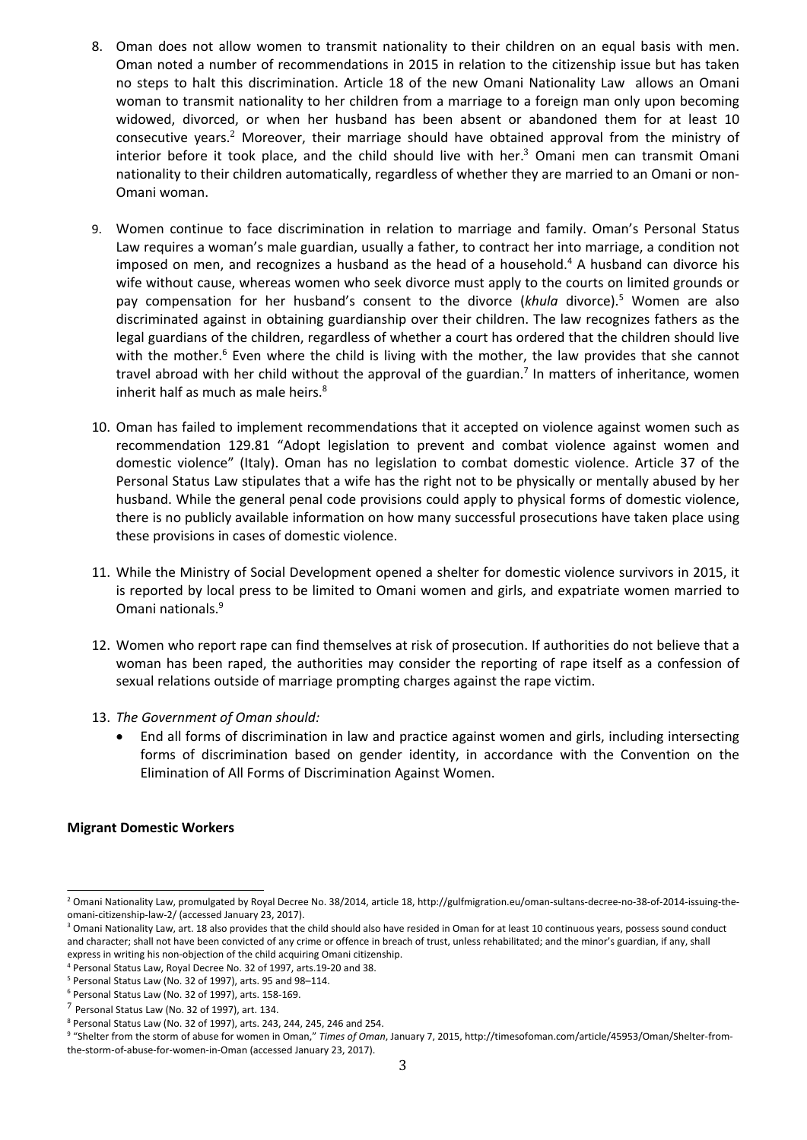- 8. Oman does not allow women to transmit nationality to their children on an equal basis with men. Oman noted <sup>a</sup> number of recommendations in 2015 in relation to the citizenship issue but has taken no steps to halt this discrimination. Article 18 of the new Omani Nationality Law allows an Omani woman to transmit nationality to her children from <sup>a</sup> marriage to <sup>a</sup> foreign man only upon becoming widowed, divorced, or when her husband has been absent or abandoned them for at least 10 consecutive years.<sup>2</sup> Moreover, their marriage should have obtained approval from the ministry of interior before it took place, and the child should live with her. 3 Omani men can transmit Omani nationality to their children automatically, regardless of whether they are married to an Omani or non-Omani woman.
- 9. Women continue to face discrimination in relation to marriage and family. Oman'<sup>s</sup> Personal Status Law requires <sup>a</sup> woman'<sup>s</sup> male guardian, usually <sup>a</sup> father, to contract her into marriage, <sup>a</sup> condition not imposed on men, and recognizes <sup>a</sup> husband as the head of <sup>a</sup> household. 4 A husband can divorce his wife without cause, whereas women who seek divorce must apply to the courts on limited grounds or pay compensation for her husband'<sup>s</sup> consent to the divorce (*khula* divorce). <sup>5</sup> Women are also discriminated against in obtaining guardianship over their children. The law recognizes fathers as the legal guardians of the children, regardless of whether <sup>a</sup> court has ordered that the children should live with the mother.<sup>6</sup> Even where the child is living with the mother, the law provides that she cannot travel abroad with her child without the approval of the guardian. 7 In matters of inheritance, women inherit half as much as male heirs. $^8$
- 10. Oman has failed to implement recommendations that it accepted on violence against women such as recommendation 129.81 "Adopt legislation to prevent and combat violence against women and domestic violence" (Italy). Oman has no legislation to combat domestic violence. Article 37 of the Personal Status Law stipulates that <sup>a</sup> wife has the right not to be physically or mentally abused by her husband. While the general penal code provisions could apply to physical forms of domestic violence, there is no publicly available information on how many successful prosecutions have taken place using these provisions in cases of domestic violence.
- 11. While the Ministry of Social Development opened <sup>a</sup> shelter for domestic violence survivors in 2015, it is reported by local press to be limited to Omani women and girls, and expatriate women married to Omani nationals. 9
- 12. Women who report rape can find themselves at risk of prosecution. If authorities do not believe that <sup>a</sup> woman has been raped, the authorities may consider the reporting of rape itself as <sup>a</sup> confession of sexual relations outside of marriage prompting charges against the rape victim.
- 13. *The Government of Oman should:*
	- . End all forms of discrimination in law and practice against women and girls, including intersecting forms of discrimination based on gender identity, in accordance with the Convention on the Elimination of All Forms of Discrimination Against Women.

### **Migrant Domestic Workers**

<sup>&</sup>lt;sup>2</sup> Omani Nationality Law, promulgated by Royal Decree No. 38/2014, article 18, http://gulfmigration.eu/oman-sultans-decree-no-38-of-2014-issuing-theomani-citizenship-law-2/ (accessed January 23, 2017).

<sup>&</sup>lt;sup>3</sup> Omani Nationality Law, art. 18 also provides that the child should also have resided in Oman for at least 10 continuous years, possess sound conduct and character; shall not have been convicted of any crime or offence in breach of trust, unless rehabilitated; and the minor'<sup>s</sup> guardian, if any, shall express in writing his non-objection of the child acquiring Omani citizenship.

<sup>4</sup> Personal Status Law, Royal Decree No. 32 of 1997, arts.19-20 and 38.

<sup>5</sup> Personal Status Law (No. 32 of 1997), arts. 95 and 98–114.

<sup>6</sup> Personal Status Law (No. 32 of 1997), arts. 158-169.

 $<sup>7</sup>$  Personal Status Law (No. 32 of 1997), art. 134.</sup>

<sup>8</sup> Personal Status Law (No. 32 of 1997), arts. 243, 244, 245, 246 and 254.

<sup>9</sup> "Shelter from the storm of abuse for women in Oman," *Times of Oman*, January 7, 2015, http://timesofoman.com/article/45953/Oman/Shelter-fromthe-storm-of-abuse-for-women-in-Oman (accessed January 23, 2017).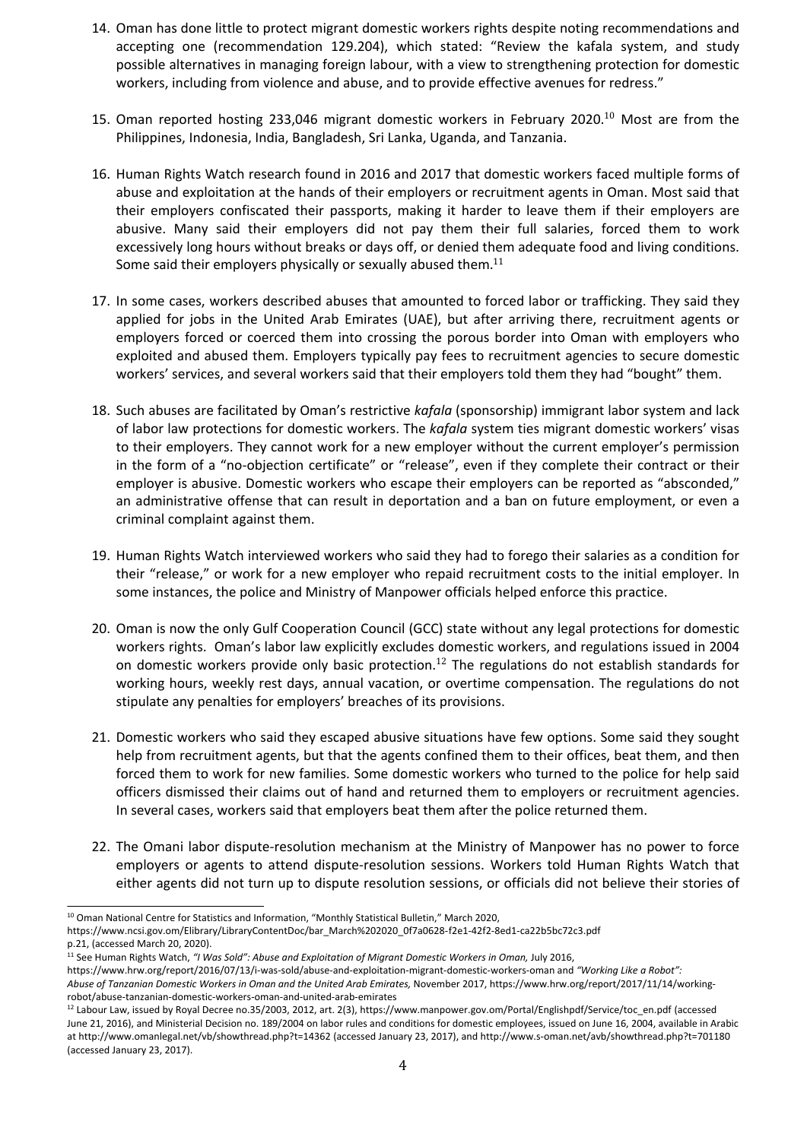- 14. Oman has done little to protect migrant domestic workers rights despite noting recommendations and accepting one (recommendation 129.204), which stated: "Review the kafala system, and study possible alternatives in managing foreign labour, with <sup>a</sup> view to strengthening protection for domestic workers, including from violence and abuse, and to provide effective avenues for redress."
- 15. Oman reported hosting 233,046 migrant domestic workers in February 2020. $^{10}$  Most are from the Philippines, Indonesia, India, Bangladesh, Sri Lanka, Uganda, and Tanzania.
- 16. Human Rights Watch research found in 2016 and 2017 that domestic workers faced multiple forms of abuse and exploitation at the hands of their employers or recruitment agents in Oman. Most said that their employers confiscated their passports, making it harder to leave them if their employers are abusive. Many said their employers did not pay them their full salaries, forced them to work excessively long hours without breaks or days off, or denied them adequate food and living conditions. Some said their employers physically or sexually abused them. $^{11}$
- 17. In some cases, workers described abuses that amounted to forced labor or trafficking. They said they applied for jobs in the United Arab Emirates (UAE), but after arriving there, recruitment agents or employers forced or coerced them into crossing the porous border into Oman with employers who exploited and abused them. Employers typically pay fees to recruitment agencies to secure domestic workers' services, and several workers said that their employers told them they had "bought" them.
- 18. Such abuses are facilitated by Oman'<sup>s</sup> restrictive *kafala* (sponsorship) immigrant labor system and lack of labor law protections for domestic workers. The *kafala* system ties migrant domestic workers' visas to their employers. They cannot work for <sup>a</sup> new employer without the current employer'<sup>s</sup> permission in the form of <sup>a</sup> "no-objection certificate" or "release", even if they complete their contract or their employer is abusive. Domestic workers who escape their employers can be reported as "absconded," an administrative offense that can result in deportation and <sup>a</sup> ban on future employment, or even <sup>a</sup> criminal complaint against them.
- 19. Human Rights Watch interviewed workers who said they had to forego their salaries as <sup>a</sup> condition for their "release," or work for <sup>a</sup> new employer who repaid recruitment costs to the initial employer. In some instances, the police and Ministry of Manpower officials helped enforce this practice.
- 20. Oman is now the only Gulf Cooperation Council (GCC) state without any legal protections for domestic workers rights. Oman'<sup>s</sup> labor law explicitly excludes domestic workers, and regulations issued in 2004 on domestic workers provide only basic protection.<sup>12</sup> The regulations do not establish standards for working hours, weekly rest days, annual vacation, or overtime compensation. The regulations do not stipulate any penalties for employers' breaches of its provisions.
- 21. Domestic workers who said they escaped abusive situations have few options. Some said they sought help from recruitment agents, but that the agents confined them to their offices, beat them, and then forced them to work for new families. Some domestic workers who turned to the police for help said officers dismissed their claims out of hand and returned them to employers or recruitment agencies. In several cases, workers said that employers beat them after the police returned them.
- 22. The Omani labor dispute-resolution mechanism at the Ministry of Manpower has no power to force employers or agents to attend dispute-resolution sessions. Workers told Human Rights Watch that either agents did not turn up to dispute resolution sessions, or officials did not believe their stories of

 $^{10}$  Oman National Centre for Statistics and Information, "Monthly Statistical Bulletin," March 2020,

https://www.ncsi.gov.om/Elibrary/LibraryContentDoc/bar\_March%202020\_0f7a0628-f2e1-42f2-8ed1-ca22b5bc72c3.pdf p.21, (accessed March 20, 2020).

<sup>11</sup> See Human Rights Watch, *"I Was Sold": Abuse and Exploitation of Migrant Domestic Workers in Oman,* July 2016,

https://www.hrw.org/report/2016/07/13/i-was-sold/abuse-and-exploitation-migrant-domestic-workers-oman and *"Working Like <sup>a</sup> Robot": Abuse of Tanzanian Domestic Workers in Oman and the United Arab Emirates,* November 2017, https://www.hrw.org/report/2017/11/14/workingrobot/abuse-tanzanian-domestic-workers-oman-and-united-arab-emirates

<sup>&</sup>lt;sup>12</sup> Labour Law, issued by Royal Decree no.35/2003, 2012, art. 2(3), https://www.manpower.gov.om/Portal/Englishpdf/Service/toc\_en.pdf (accessec June 21, 2016), and Ministerial Decision no. 189/2004 on labor rules and conditions for domestic employees, issued on June 16, 2004, available in Arabic at http://www.omanlegal.net/vb/showthread.php?t=14362 (accessed January 23, 2017), and http://www.s-oman.net/avb/showthread.php?t=701180 (accessed January 23, 2017).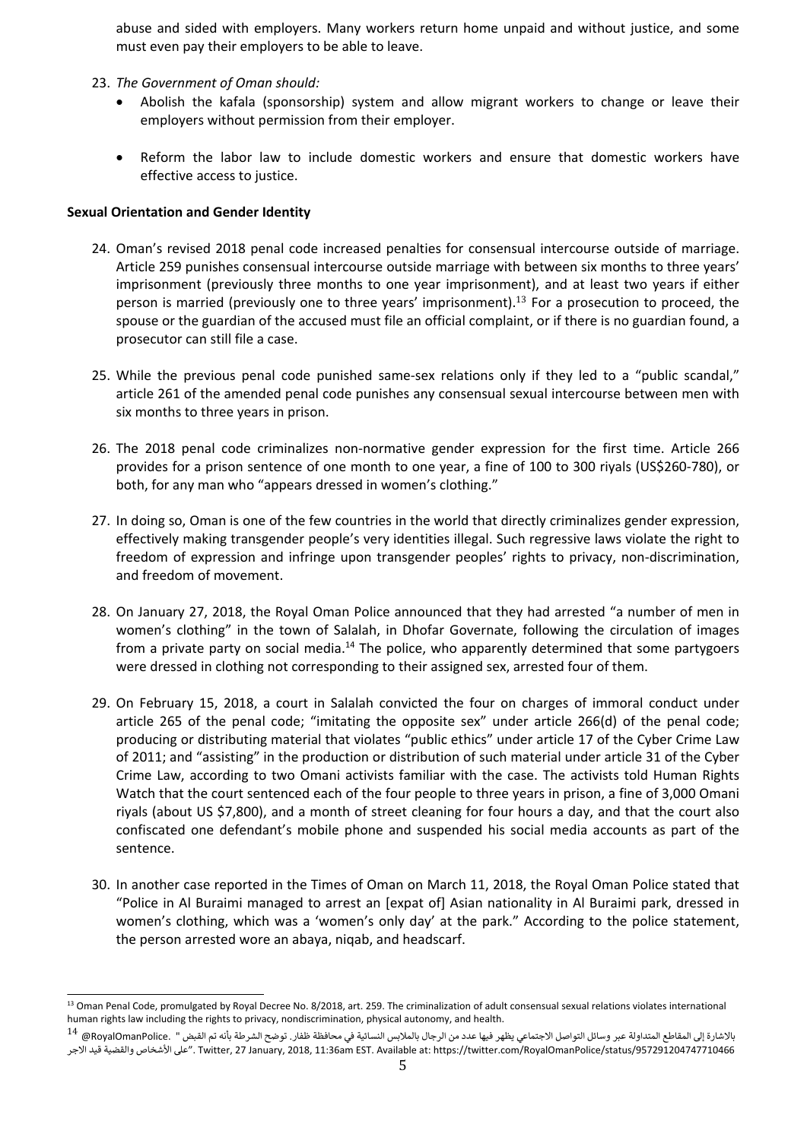abuse and sided with employers. Many workers return home unpaid and without justice, and some must even pay their employers to be able to leave.

- 23. *The Government of Oman should:*
	- . Abolish the kafala (sponsorship) system and allow migrant workers to change or leave their employers without permission from their employer.
	- $\bullet$  Reform the labor law to include domestic workers and ensure that domestic workers have effective access to justice.

## **Sexual Orientation and Gender Identity**

- 24. Oman'<sup>s</sup> revised 2018 penal code increased penalties for consensual intercourse outside of marriage. Article 259 punishes consensual intercourse outside marriage with between six months to three years' imprisonment (previously three months to one year imprisonment), and at least two years if either person is married (previously one to three years' imprisonment).<sup>13</sup> For a prosecution to proceed, the spouse or the guardian of the accused must file an official complaint, or if there is no guardian found, <sup>a</sup> prosecutor can still file <sup>a</sup> case.
- 25. While the previous penal code punished same-sex relations only if they led to <sup>a</sup> "public scandal," article 261 of the amended penal code punishes any consensual sexual intercourse between men with six months to three years in prison.
- 26. The 2018 penal code criminalizes non-normative gender expression for the first time. Article 266 provides for <sup>a</sup> prison sentence of one month to one year, <sup>a</sup> fine of 100 to 300 riyals (US\$260-780), or both, for any man who "appears dressed in women'<sup>s</sup> clothing."
- 27. In doing so, Oman is one of the few countries in the world that directly criminalizes gender expression, effectively making transgender people'<sup>s</sup> very identities illegal. Such regressive laws violate the right to freedom of expression and infringe upon transgender peoples' rights to privacy, non-discrimination, and freedom of movement.
- 28. On January 27, 2018, the Royal Oman Police announced that they had arrested "<sup>a</sup> number of men in women'<sup>s</sup> clothing" in the town of Salalah, in Dhofar Governate, following the circulation of images from a private party on social media.<sup>14</sup> The police, who apparently determined that some partygoers were dressed in clothing not corresponding to their assigned sex, arrested four of them.
- 29. On February 15, 2018, <sup>a</sup> court in Salalah convicted the four on charges of immoral conduct under article 265 of the penal code; "imitating the opposite sex" under article 266(d) of the penal code; producing or distributing material that violates "public ethics" under article 17 of the Cyber Crime Law of 2011; and "assisting" in the production or distribution of such material under article 31 of the Cyber Crime Law, according to two Omani activists familiar with the case. The activists told Human Rights Watch that the court sentenced each of the four people to three years in prison, <sup>a</sup> fine of 3,000 Omani riyals (about US \$7,800), and <sup>a</sup> month of street cleaning for four hours <sup>a</sup> day, and that the court also confiscated one defendant'<sup>s</sup> mobile phone and suspended his social media accounts as part of the sentence.
- 30. In another case reported in the Times of Oman on March 11, 2018, the Royal Oman Police stated that "Police in Al Buraimi managed to arrest an [expat of] Asian nationality in Al Buraimi park, dressed in women'<sup>s</sup> clothing, which was <sup>a</sup> 'women'<sup>s</sup> only day' at the park." According to the police statement, the person arrested wore an abaya, niqab, and headscarf.

<sup>&</sup>lt;sup>13</sup> Oman Penal Code, promulgated by Royal Decree No. 8/2018, art. 259. The criminalization of adult consensual sexual relations violates internationa human rights law including the rights to privacy, nondiscrimination, physical autonomy, and health.

 $^{14}$  @RoyalOmanPolice. " المقاطع المتداولة عبر وسائل الاجتماعي يظهر فيها عدد من الرجال بالملابس النسائية في محافظة ظفار. توضح الشرطة بأنه تم القبض الاجر قيد والقضية الأشخاص على". Twitter, <sup>27</sup> January, 2018, 11:36am EST. Available at: https://twitter.com/RoyalOmanPolice/status/957291204747710466